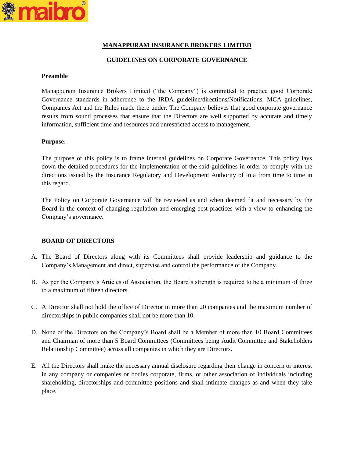

# **MANAPPURAM INSURANCE BROKERS LIMITED**

# **GUIDELINES ON CORPORATE GOVERNANCE**

### **Preamble**

Manappuram Insurance Brokers Limited ("the Company") is committed to practice good Corporate Governance standards in adherence to the IRDA guideline/directions/Notifications, MCA guidelines, Companies Act and the Rules made there under. The Company believes that good corporate governance results from sound processes that ensure that the Directors are well supported by accurate and timely information, sufficient time and resources and unrestricted access to management.

## **Purpose:-**

The purpose of this policy is to frame internal guidelines on Corporate Governance. This policy lays down the detailed procedures for the implementation of the said guidelines in order to comply with the directions issued by the Insurance Regulatory and Development Authority of Inia from time to time in this regard.

The Policy on Corporate Governance will be reviewed as and when deemed fit and necessary by the Board in the context of changing regulation and emerging best practices with a view to enhancing the Company's governance.

## **BOARD OF DIRECTORS**

- A. The Board of Directors along with its Committees shall provide leadership and guidance to the Company's Management and direct, supervise and control the performance of the Company.
- B. As per the Company's Articles of Association, the Board's strength is required to be a minimum of three to a maximum of fifteen directors.
- C. A Director shall not hold the office of Director in more than 20 companies and the maximum number of directorships in public companies shall not be more than 10.
- D. None of the Directors on the Company's Board shall be a Member of more than 10 Board Committees and Chairman of more than 5 Board Committees (Committees being Audit Committee and Stakeholders Relationship Committee) across all companies in which they are Directors.
- E. All the Directors shall make the necessary annual disclosure regarding their change in concern or interest in any company or companies or bodies corporate, firms, or other association of individuals including shareholding, directorships and committee positions and shall intimate changes as and when they take place.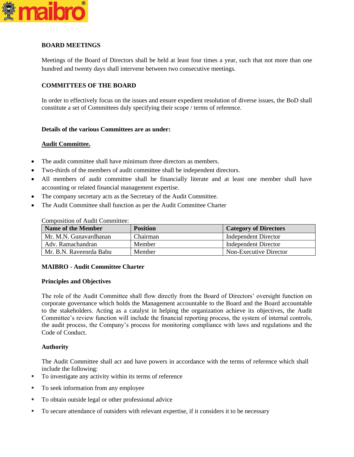

# **BOARD MEETINGS**

Meetings of the Board of Directors shall be held at least four times a year, such that not more than one hundred and twenty days shall intervene between two consecutive meetings.

# **COMMITTEES OF THE BOARD**

In order to effectively focus on the issues and ensure expedient resolution of diverse issues, the BoD shall constitute a set of Committees duly specifying their scope / terms of reference.

## **Details of the various Committees are as under:**

## **Audit Committee.**

- The audit committee shall have minimum three directors as members.
- Two-thirds of the members of audit committee shall be independent directors.
- All members of audit committee shall be financially literate and at least one member shall have accounting or related financial management expertise.
- The company secretary acts as the Secretary of the Audit Committee.
- The Audit Committee shall function as per the Audit Committee Charter

| <b>Name of the Member</b> | <b>Position</b> | <b>Category of Directors</b> |
|---------------------------|-----------------|------------------------------|
| Mr. M.N. Gunavardhanan    | Chairman        | Independent Director         |
| Adv. Ramachandran         | Member          | Independent Director         |
| Mr. B.N. Raveenrda Babu   | Member          | Non-Executive Director       |

Composition of Audit Committee:

## **MAIBRO - Audit Committee Charter**

#### **Principles and Objectives**

The role of the Audit Committee shall flow directly from the Board of Directors' oversight function on corporate governance which holds the Management accountable to the Board and the Board accountable to the stakeholders. Acting as a catalyst in helping the organization achieve its objectives, the Audit Committee's review function will include the financial reporting process, the system of internal controls, the audit process, the Company's process for monitoring compliance with laws and regulations and the Code of Conduct.

## **Authority**

The Audit Committee shall act and have powers in accordance with the terms of reference which shall include the following:

- To investigate any activity within its terms of reference
- To seek information from any employee
- To obtain outside legal or other professional advice
- To secure attendance of outsiders with relevant expertise, if it considers it to be necessary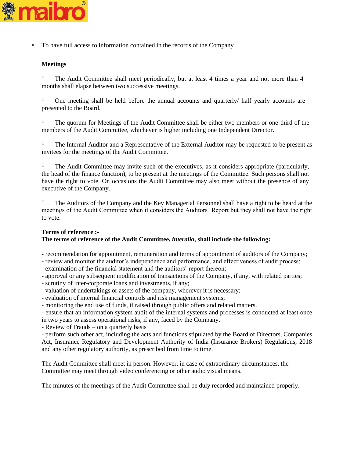

▪ To have full access to information contained in the records of the Company

## **Meetings**

 $\Box$ The Audit Committee shall meet periodically, but at least 4 times a year and not more than 4 months shall elapse between two successive meetings.

 $\Box$ One meeting shall be held before the annual accounts and quarterly/ half yearly accounts are presented to the Board.

The quorum for Meetings of the Audit Committee shall be either two members or one-third of the members of the Audit Committee, whichever is higher including one Independent Director.

The Internal Auditor and a Representative of the External Auditor may be requested to be present as invitees for the meetings of the Audit Committee.

The Audit Committee may invite such of the executives, as it considers appropriate (particularly, the head of the finance function), to be present at the meetings of the Committee. Such persons shall not have the right to vote. On occasions the Audit Committee may also meet without the presence of any executive of the Company.

 $\Box$ The Auditors of the Company and the Key Managerial Personnel shall have a right to be heard at the meetings of the Audit Committee when it considers the Auditors' Report but they shall not have the right to vote.

#### **Terms of reference :- The terms of reference of the Audit Committee,** *interalia***, shall include the following:**

- recommendation for appointment, remuneration and terms of appointment of auditors of the Company;

- review and monitor the auditor's independence and performance, and effectiveness of audit process;

- examination of the financial statement and the auditors' report thereon;

- approval or any subsequent modification of transactions of the Company, if any, with related parties;
- scrutiny of inter-corporate loans and investments, if any;
- valuation of undertakings or assets of the company, wherever it is necessary;
- evaluation of internal financial controls and risk management systems;
- monitoring the end use of funds, if raised through public offers and related matters.

- ensure that an information system audit of the internal systems and processes is conducted at least once in two years to assess operational risks, if any, faced by the Company.

- Review of Frauds – on a quarterly basis

- perform such other act, including the acts and functions stipulated by the Board of Directors, Companies Act, Insurance Regulatory and Development Authority of India (Insurance Brokers) Regulations, 2018 and any other regulatory authority, as prescribed from time to time.

The Audit Committee shall meet in person. However, in case of extraordinary circumstances, the Committee may meet through video conferencing or other audio visual means.

The minutes of the meetings of the Audit Committee shall be duly recorded and maintained properly.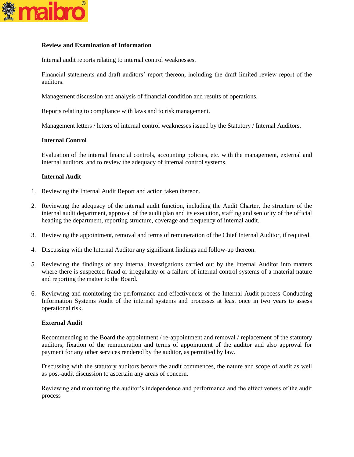

## **Review and Examination of Information**

Internal audit reports relating to internal control weaknesses.

Financial statements and draft auditors' report thereon, including the draft limited review report of the auditors.

Management discussion and analysis of financial condition and results of operations.

Reports relating to compliance with laws and to risk management.

Management letters / letters of internal control weaknesses issued by the Statutory / Internal Auditors.

## **Internal Control**

Evaluation of the internal financial controls, accounting policies, etc. with the management, external and internal auditors, and to review the adequacy of internal control systems.

## **Internal Audit**

- 1. Reviewing the Internal Audit Report and action taken thereon.
- 2. Reviewing the adequacy of the internal audit function, including the Audit Charter, the structure of the internal audit department, approval of the audit plan and its execution, staffing and seniority of the official heading the department, reporting structure, coverage and frequency of internal audit.
- 3. Reviewing the appointment, removal and terms of remuneration of the Chief Internal Auditor, if required.
- 4. Discussing with the Internal Auditor any significant findings and follow-up thereon.
- 5. Reviewing the findings of any internal investigations carried out by the Internal Auditor into matters where there is suspected fraud or irregularity or a failure of internal control systems of a material nature and reporting the matter to the Board.
- 6. Reviewing and monitoring the performance and effectiveness of the Internal Audit process Conducting Information Systems Audit of the internal systems and processes at least once in two years to assess operational risk.

#### **External Audit**

Recommending to the Board the appointment / re-appointment and removal / replacement of the statutory auditors, fixation of the remuneration and terms of appointment of the auditor and also approval for payment for any other services rendered by the auditor, as permitted by law.

Discussing with the statutory auditors before the audit commences, the nature and scope of audit as well as post-audit discussion to ascertain any areas of concern.

Reviewing and monitoring the auditor's independence and performance and the effectiveness of the audit process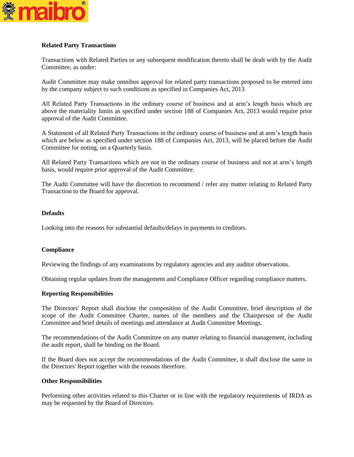

## **Related Party Transactions**

Transactions with Related Parties or any subsequent modification thereto shall be dealt with by the Audit Committee, as under:

Audit Committee may make omnibus approval for related party transactions proposed to be entered into by the company subject to such conditions as specified in Companies Act, 2013

All Related Party Transactions in the ordinary course of business and at arm's length basis which are above the materiality limits as specified under section 188 of Companies Act, 2013 would require prior approval of the Audit Committee.

A Statement of all Related Party Transactions in the ordinary course of business and at arm's length basis which are below as specified under section 188 of Companies Act, 2013, will be placed before the Audit Committee for noting, on a Quarterly basis.

All Related Party Transactions which are not in the ordinary course of business and not at arm's length basis, would require prior approval of the Audit Committee.

The Audit Committee will have the discretion to recommend / refer any matter relating to Related Party Transaction to the Board for approval.

## **Defaults**

Looking into the reasons for substantial defaults/delays in payments to creditors.

## **Compliance**

Reviewing the findings of any examinations by regulatory agencies and any auditor observations.

Obtaining regular updates from the management and Compliance Officer regarding compliance matters.

#### **Reporting Responsibilities**

The Directors' Report shall disclose the composition of the Audit Committee, brief description of the scope of the Audit Committee Charter, names of the members and the Chairperson of the Audit Committee and brief details of meetings and attendance at Audit Committee Meetings.

The recommendations of the Audit Committee on any matter relating to financial management, including the audit report, shall be binding on the Board.

If the Board does not accept the recommendations of the Audit Committee, it shall disclose the same in the Directors' Report together with the reasons therefore.

## **Other Responsibilities**

Performing other activities related to this Charter or in line with the regulatory requirements of IRDA as may be requested by the Board of Directors.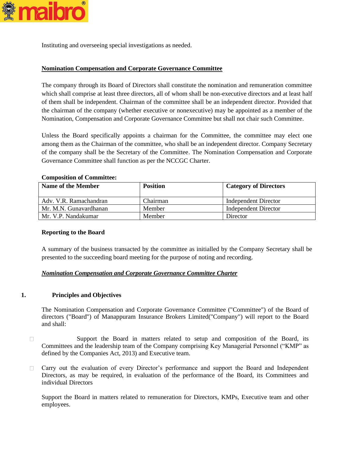

Instituting and overseeing special investigations as needed.

# **Nomination Compensation and Corporate Governance Committee**

The company through its Board of Directors shall constitute the nomination and remuneration committee which shall comprise at least three directors, all of whom shall be non-executive directors and at least half of them shall be independent. Chairman of the committee shall be an independent director. Provided that the chairman of the company (whether executive or nonexecutive) may be appointed as a member of the Nomination, Compensation and Corporate Governance Committee but shall not chair such Committee.

Unless the Board specifically appoints a chairman for the Committee, the committee may elect one among them as the Chairman of the committee, who shall be an independent director. Company Secretary of the company shall be the Secretary of the Committee. The Nomination Compensation and Corporate Governance Committee shall function as per the NCCGC Charter.

## **Composition of Committee:**

| <b>Name of the Member</b> | <b>Position</b> | <b>Category of Directors</b> |
|---------------------------|-----------------|------------------------------|
| Adv. V.R. Ramachandran    | Chairman        | Independent Director         |
| Mr. M.N. Gunavardhanan    | Member          | Independent Director         |
| Mr. V.P. Nandakumar       | Member          | Director                     |

#### **Reporting to the Board**

A summary of the business transacted by the committee as initialled by the Company Secretary shall be presented to the succeeding board meeting for the purpose of noting and recording.

## *Nomination Compensation and Corporate Governance Committee Charter*

## **1. Principles and Objectives**

The Nomination Compensation and Corporate Governance Committee ("Committee") of the Board of directors ("Board") of Manappuram Insurance Brokers Limited("Company") will report to the Board and shall:

- $\Box$ Support the Board in matters related to setup and composition of the Board, its Committees and the leadership team of the Company comprising Key Managerial Personnel ("KMP" as defined by the Companies Act, 2013) and Executive team.
- Carry out the evaluation of every Director's performance and support the Board and Independent  $\Box$ Directors, as may be required, in evaluation of the performance of the Board, its Committees and individual Directors

Support the Board in matters related to remuneration for Directors, KMPs, Executive team and other employees.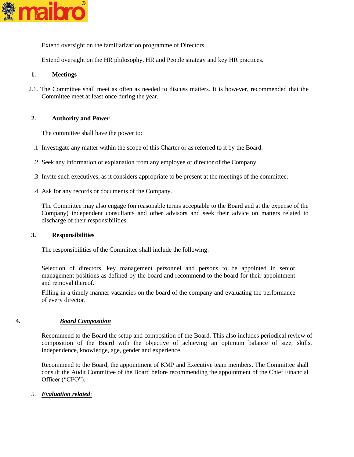

Extend oversight on the familiarization programme of Directors.

Extend oversight on the HR philosophy, HR and People strategy and key HR practices.

# **1. Meetings**

2.1. The Committee shall meet as often as needed to discuss matters. It is however, recommended that the Committee meet at least once during the year.

## **2. Authority and Power**

The committee shall have the power to:

- .1 Investigate any matter within the scope of this Charter or as referred to it by the Board.
- .2 Seek any information or explanation from any employee or director of the Company.
- .3 Invite such executives, as it considers appropriate to be present at the meetings of the committee.
- .4 Ask for any records or documents of the Company.

The Committee may also engage (on reasonable terms acceptable to the Board and at the expense of the Company) independent consultants and other advisors and seek their advice on matters related to discharge of their responsibilities.

### **3. Responsibilities**

The responsibilities of the Committee shall include the following:

Selection of directors, key management personnel and persons to be appointed in senior management positions as defined by the board and recommend to the board for their appointment and removal thereof.

Filling in a timely manner vacancies on the board of the company and evaluating the performance of every director.

## 4. *Board Composition*

Recommend to the Board the setup and composition of the Board. This also includes periodical review of composition of the Board with the objective of achieving an optimum balance of size, skills, independence, knowledge, age, gender and experience.

Recommend to the Board, the appointment of KMP and Executive team members. The Committee shall consult the Audit Committee of the Board before recommending the appointment of the Chief Financial Officer ("CFO").

5. *Evaluation related*: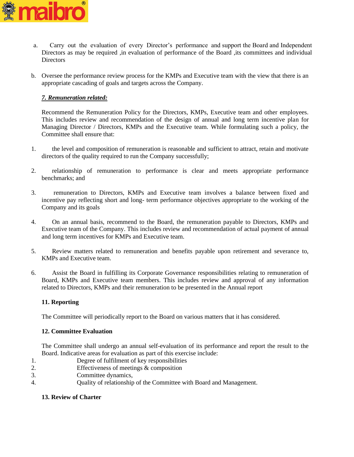

- a. Carry out the evaluation of every Director's performance and support the Board and Independent Directors as may be required ,in evaluation of performance of the Board ,its committees and individual **Directors**
- b. Oversee the performance review process for the KMPs and Executive team with the view that there is an appropriate cascading of goals and targets across the Company.

# *7. Remuneration related:*

Recommend the Remuneration Policy for the Directors, KMPs, Executive team and other employees. This includes review and recommendation of the design of annual and long term incentive plan for Managing Director / Directors, KMPs and the Executive team. While formulating such a policy, the Committee shall ensure that:

- 1. the level and composition of remuneration is reasonable and sufficient to attract, retain and motivate directors of the quality required to run the Company successfully;
- 2. relationship of remuneration to performance is clear and meets appropriate performance benchmarks; and
- 3. remuneration to Directors, KMPs and Executive team involves a balance between fixed and incentive pay reflecting short and long- term performance objectives appropriate to the working of the Company and its goals
- 4. On an annual basis, recommend to the Board, the remuneration payable to Directors, KMPs and Executive team of the Company. This includes review and recommendation of actual payment of annual and long term incentives for KMPs and Executive team.
- 5. Review matters related to remuneration and benefits payable upon retirement and severance to, KMPs and Executive team.
- 6. Assist the Board in fulfilling its Corporate Governance responsibilities relating to remuneration of Board, KMPs and Executive team members. This includes review and approval of any information related to Directors, KMPs and their remuneration to be presented in the Annual report

## **11. Reporting**

The Committee will periodically report to the Board on various matters that it has considered.

## **12. Committee Evaluation**

The Committee shall undergo an annual self-evaluation of its performance and report the result to the Board. Indicative areas for evaluation as part of this exercise include:

- 1. Degree of fulfilment of key responsibilities
- 2. Effectiveness of meetings & composition
- 3. Committee dynamics,
- 4. Quality of relationship of the Committee with Board and Management.

# **13. Review of Charter**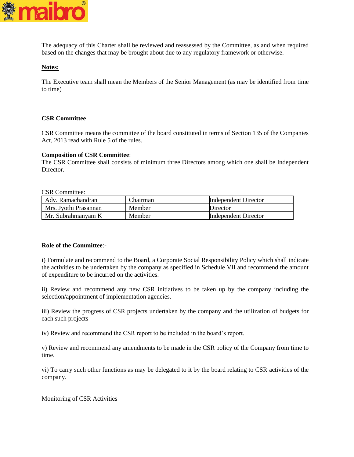

The adequacy of this Charter shall be reviewed and reassessed by the Committee, as and when required based on the changes that may be brought about due to any regulatory framework or otherwise.

## **Notes:**

The Executive team shall mean the Members of the Senior Management (as may be identified from time to time)

## **CSR Committee**

CSR Committee means the committee of the board constituted in terms of Section 135 of the Companies Act, 2013 read with Rule 5 of the rules.

### **Composition of CSR Committee**:

The CSR Committee shall consists of minimum three Directors among which one shall be Independent Director.

CSR Committee:

| Adv. Ramachandran     | Chairman | Independent Director        |
|-----------------------|----------|-----------------------------|
| Mrs. Jyothi Prasannan | Member   | Director                    |
| Mr. Subrahmanyam K    | Member   | <b>Independent Director</b> |

## **Role of the Committee**:-

i) Formulate and recommend to the Board, a Corporate Social Responsibility Policy which shall indicate the activities to be undertaken by the company as specified in Schedule VII and recommend the amount of expenditure to be incurred on the activities.

ii) Review and recommend any new CSR initiatives to be taken up by the company including the selection/appointment of implementation agencies.

iii) Review the progress of CSR projects undertaken by the company and the utilization of budgets for each such projects

iv) Review and recommend the CSR report to be included in the board's report.

v) Review and recommend any amendments to be made in the CSR policy of the Company from time to time.

vi) To carry such other functions as may be delegated to it by the board relating to CSR activities of the company.

Monitoring of CSR Activities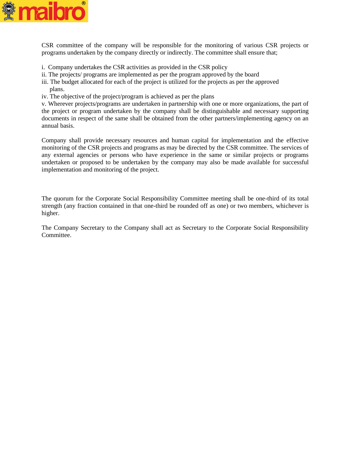

CSR committee of the company will be responsible for the monitoring of various CSR projects or programs undertaken by the company directly or indirectly. The committee shall ensure that;

- i. Company undertakes the CSR activities as provided in the CSR policy
- ii. The projects/ programs are implemented as per the program approved by the board
- iii. The budget allocated for each of the project is utilized for the projects as per the approved plans.
- iv. The objective of the project/program is achieved as per the plans

v. Wherever projects/programs are undertaken in partnership with one or more organizations, the part of the project or program undertaken by the company shall be distinguishable and necessary supporting documents in respect of the same shall be obtained from the other partners/implementing agency on an annual basis.

Company shall provide necessary resources and human capital for implementation and the effective monitoring of the CSR projects and programs as may be directed by the CSR committee. The services of any external agencies or persons who have experience in the same or similar projects or programs undertaken or proposed to be undertaken by the company may also be made available for successful implementation and monitoring of the project.

The quorum for the Corporate Social Responsibility Committee meeting shall be one-third of its total strength (any fraction contained in that one-third be rounded off as one) or two members, whichever is higher.

The Company Secretary to the Company shall act as Secretary to the Corporate Social Responsibility Committee.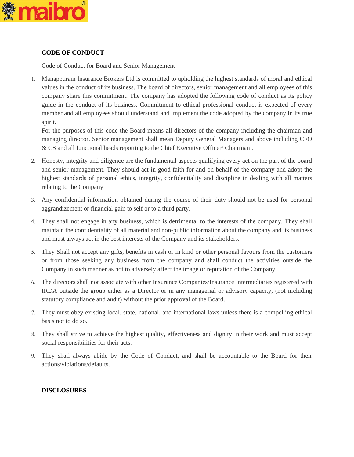

# **CODE OF CONDUCT**

Code of Conduct for Board and Senior Management

 Manappuram Insurance Brokers Ltd is committed to upholding the highest standards of moral and ethical values in the conduct of its business. The board of directors, senior management and all employees of this company share this commitment. The company has adopted the following code of conduct as its policy guide in the conduct of its business. Commitment to ethical professional conduct is expected of every member and all employees should understand and implement the code adopted by the company in its true spirit.

For the purposes of this code the Board means all directors of the company including the chairman and managing director. Senior management shall mean Deputy General Managers and above including CFO & CS and all functional heads reporting to the Chief Executive Officer/ Chairman .

- Honesty, integrity and diligence are the fundamental aspects qualifying every act on the part of the board and senior management. They should act in good faith for and on behalf of the company and adopt the highest standards of personal ethics, integrity, confidentiality and discipline in dealing with all matters relating to the Company
- Any confidential information obtained during the course of their duty should not be used for personal aggrandizement or financial gain to self or to a third party.
- They shall not engage in any business, which is detrimental to the interests of the company. They shall maintain the confidentiality of all material and non-public information about the company and its business and must always act in the best interests of the Company and its stakeholders.
- They Shall not accept any gifts, benefits in cash or in kind or other personal favours from the customers or from those seeking any business from the company and shall conduct the activities outside the Company in such manner as not to adversely affect the image or reputation of the Company.
- The directors shall not associate with other Insurance Companies/Insurance Intermediaries registered with IRDA outside the group either as a Director or in any managerial or advisory capacity, (not including statutory compliance and audit) without the prior approval of the Board.
- They must obey existing local, state, national, and international laws unless there is a compelling ethical basis not to do so.
- They shall strive to achieve the highest quality, effectiveness and dignity in their work and must accept social responsibilities for their acts.
- They shall always abide by the Code of Conduct, and shall be accountable to the Board for their actions/violations/defaults.

# **DISCLOSURES**